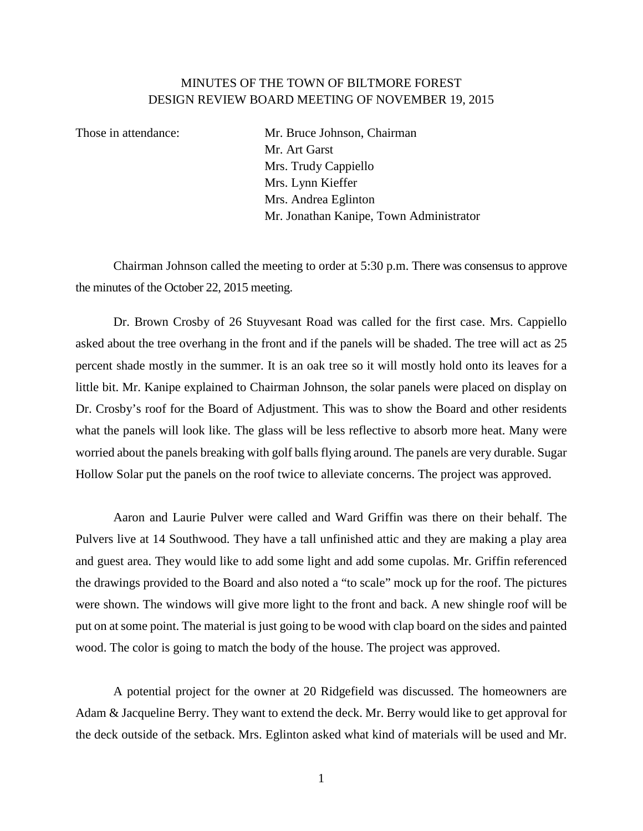## MINUTES OF THE TOWN OF BILTMORE FOREST DESIGN REVIEW BOARD MEETING OF NOVEMBER 19, 2015

Those in attendance: Mr. Bruce Johnson, Chairman Mr. Art Garst Mrs. Trudy Cappiello Mrs. Lynn Kieffer Mrs. Andrea Eglinton Mr. Jonathan Kanipe, Town Administrator

Chairman Johnson called the meeting to order at 5:30 p.m. There was consensus to approve the minutes of the October 22, 2015 meeting.

Dr. Brown Crosby of 26 Stuyvesant Road was called for the first case. Mrs. Cappiello asked about the tree overhang in the front and if the panels will be shaded. The tree will act as 25 percent shade mostly in the summer. It is an oak tree so it will mostly hold onto its leaves for a little bit. Mr. Kanipe explained to Chairman Johnson, the solar panels were placed on display on Dr. Crosby's roof for the Board of Adjustment. This was to show the Board and other residents what the panels will look like. The glass will be less reflective to absorb more heat. Many were worried about the panels breaking with golf balls flying around. The panels are very durable. Sugar Hollow Solar put the panels on the roof twice to alleviate concerns. The project was approved.

Aaron and Laurie Pulver were called and Ward Griffin was there on their behalf. The Pulvers live at 14 Southwood. They have a tall unfinished attic and they are making a play area and guest area. They would like to add some light and add some cupolas. Mr. Griffin referenced the drawings provided to the Board and also noted a "to scale" mock up for the roof. The pictures were shown. The windows will give more light to the front and back. A new shingle roof will be put on at some point. The material is just going to be wood with clap board on the sides and painted wood. The color is going to match the body of the house. The project was approved.

A potential project for the owner at 20 Ridgefield was discussed. The homeowners are Adam & Jacqueline Berry. They want to extend the deck. Mr. Berry would like to get approval for the deck outside of the setback. Mrs. Eglinton asked what kind of materials will be used and Mr.